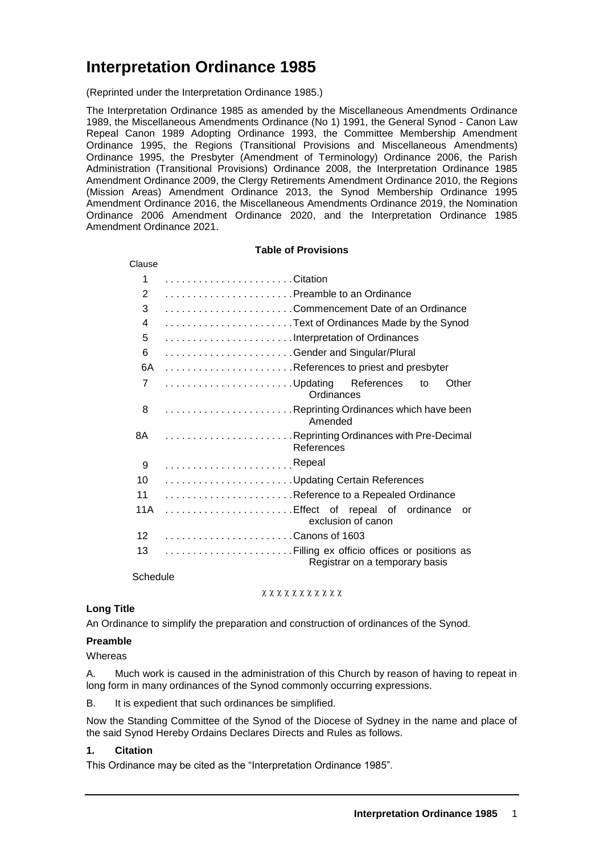# **Interpretation Ordinance 1985**

(Reprinted under the Interpretation Ordinance 1985.)

The Interpretation Ordinance 1985 as amended by the Miscellaneous Amendments Ordinance 1989, the Miscellaneous Amendments Ordinance (No 1) 1991, the General Synod - Canon Law Repeal Canon 1989 Adopting Ordinance 1993, the Committee Membership Amendment Ordinance 1995, the Regions (Transitional Provisions and Miscellaneous Amendments) Ordinance 1995, the Presbyter (Amendment of Terminology) Ordinance 2006, the Parish Administration (Transitional Provisions) Ordinance 2008, the Interpretation Ordinance 1985 Amendment Ordinance 2009, the Clergy Retirements Amendment Ordinance 2010, the Regions (Mission Areas) Amendment Ordinance 2013, the Synod Membership Ordinance 1995 Amendment Ordinance 2016, the Miscellaneous Amendments Ordinance 2019, the Nomination Ordinance 2006 Amendment Ordinance 2020, and the Interpretation Ordinance 1985 Amendment Ordinance 2021.

#### **Table of Provisions**

| Clause          |                                                           |
|-----------------|-----------------------------------------------------------|
| 1               |                                                           |
| 2               | Preamble to an Ordinance                                  |
| 3               | Commencement Date of an Ordinance                         |
| 4               | Text of Ordinances Made by the Synod                      |
| 5               | Interpretation of Ordinances                              |
| 6               | Gender and Singular/Plural                                |
| 6A              | References to priest and presbyter                        |
| $\overline{7}$  | Updating<br>References<br>Other<br>to<br>Ordinances       |
| 8               | Reprinting Ordinances which have been<br>Amended          |
| 8A              | Reprinting Ordinances with Pre-Decimal<br>References      |
| 9               |                                                           |
| 10              | Updating Certain References                               |
| 11              | Reference to a Repealed Ordinance                         |
| 11A             | Effect of repeal of ordinance<br>or<br>exclusion of canon |
| 12 <sup>2</sup> | Canons of 1603                                            |
| 13              | Registrar on a temporary basis                            |
| Schedule        |                                                           |

Schedule

xxxxxxxxxxx

#### **Long Title**

An Ordinance to simplify the preparation and construction of ordinances of the Synod.

#### **Preamble**

**Whereas** 

A. Much work is caused in the administration of this Church by reason of having to repeat in long form in many ordinances of the Synod commonly occurring expressions.

B. It is expedient that such ordinances be simplified.

Now the Standing Committee of the Synod of the Diocese of Sydney in the name and place of the said Synod Hereby Ordains Declares Directs and Rules as follows.

### **1. Citation**

This Ordinance may be cited as the "Interpretation Ordinance 1985".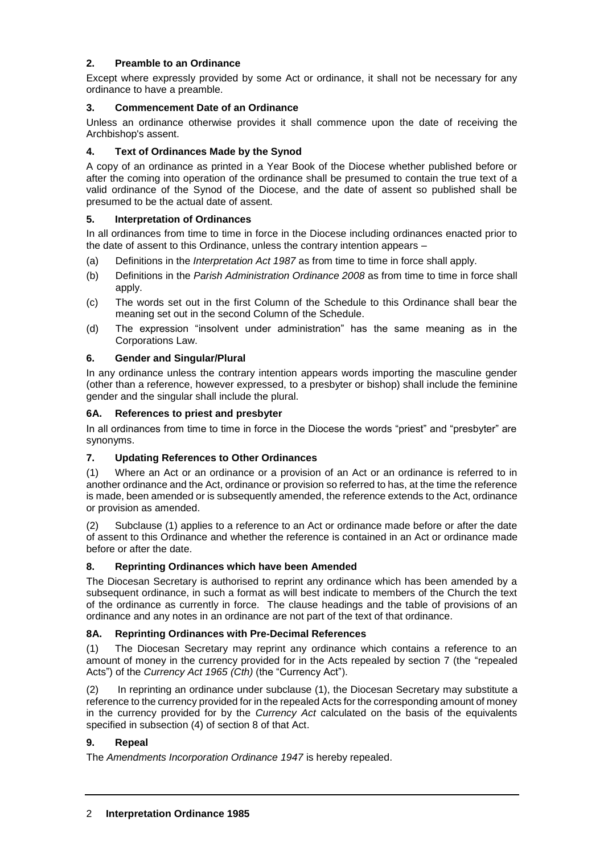# **2. Preamble to an Ordinance**

Except where expressly provided by some Act or ordinance, it shall not be necessary for any ordinance to have a preamble.

# **3. Commencement Date of an Ordinance**

Unless an ordinance otherwise provides it shall commence upon the date of receiving the Archbishop's assent.

# **4. Text of Ordinances Made by the Synod**

A copy of an ordinance as printed in a Year Book of the Diocese whether published before or after the coming into operation of the ordinance shall be presumed to contain the true text of a valid ordinance of the Synod of the Diocese, and the date of assent so published shall be presumed to be the actual date of assent.

# **5. Interpretation of Ordinances**

In all ordinances from time to time in force in the Diocese including ordinances enacted prior to the date of assent to this Ordinance, unless the contrary intention appears –

- (a) Definitions in the *Interpretation Act 1987* as from time to time in force shall apply.
- (b) Definitions in the *Parish Administration Ordinance 2008* as from time to time in force shall apply.
- (c) The words set out in the first Column of the Schedule to this Ordinance shall bear the meaning set out in the second Column of the Schedule.
- (d) The expression "insolvent under administration" has the same meaning as in the Corporations Law.

# **6. Gender and Singular/Plural**

In any ordinance unless the contrary intention appears words importing the masculine gender (other than a reference, however expressed, to a presbyter or bishop) shall include the feminine gender and the singular shall include the plural.

# **6A. References to priest and presbyter**

In all ordinances from time to time in force in the Diocese the words "priest" and "presbyter" are synonyms.

#### **7. Updating References to Other Ordinances**

(1) Where an Act or an ordinance or a provision of an Act or an ordinance is referred to in another ordinance and the Act, ordinance or provision so referred to has, at the time the reference is made, been amended or is subsequently amended, the reference extends to the Act, ordinance or provision as amended.

(2) Subclause (1) applies to a reference to an Act or ordinance made before or after the date of assent to this Ordinance and whether the reference is contained in an Act or ordinance made before or after the date.

#### **8. Reprinting Ordinances which have been Amended**

The Diocesan Secretary is authorised to reprint any ordinance which has been amended by a subsequent ordinance, in such a format as will best indicate to members of the Church the text of the ordinance as currently in force. The clause headings and the table of provisions of an ordinance and any notes in an ordinance are not part of the text of that ordinance.

#### **8A. Reprinting Ordinances with Pre-Decimal References**

(1) The Diocesan Secretary may reprint any ordinance which contains a reference to an amount of money in the currency provided for in the Acts repealed by section 7 (the "repealed Acts") of the *Currency Act 1965 (Cth)* (the "Currency Act").

(2) In reprinting an ordinance under subclause (1), the Diocesan Secretary may substitute a reference to the currency provided for in the repealed Acts for the corresponding amount of money in the currency provided for by the *Currency Act* calculated on the basis of the equivalents specified in subsection (4) of section 8 of that Act.

#### **9. Repeal**

The *Amendments Incorporation Ordinance 1947* is hereby repealed.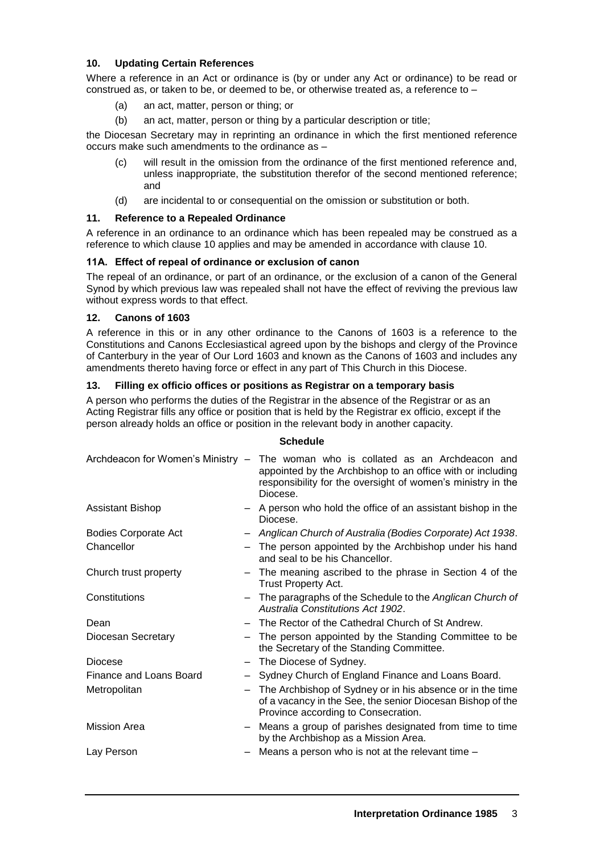# **10. Updating Certain References**

Where a reference in an Act or ordinance is (by or under any Act or ordinance) to be read or construed as, or taken to be, or deemed to be, or otherwise treated as, a reference to  $-$ 

- (a) an act, matter, person or thing; or
- (b) an act, matter, person or thing by a particular description or title;

the Diocesan Secretary may in reprinting an ordinance in which the first mentioned reference occurs make such amendments to the ordinance as –

- (c) will result in the omission from the ordinance of the first mentioned reference and, unless inappropriate, the substitution therefor of the second mentioned reference; and
- (d) are incidental to or consequential on the omission or substitution or both.

#### **11. Reference to a Repealed Ordinance**

A reference in an ordinance to an ordinance which has been repealed may be construed as a reference to which clause 10 applies and may be amended in accordance with clause 10.

#### **11A. Effect of repeal of ordinance or exclusion of canon**

The repeal of an ordinance, or part of an ordinance, or the exclusion of a canon of the General Synod by which previous law was repealed shall not have the effect of reviving the previous law without express words to that effect.

#### **12. Canons of 1603**

A reference in this or in any other ordinance to the Canons of 1603 is a reference to the Constitutions and Canons Ecclesiastical agreed upon by the bishops and clergy of the Province of Canterbury in the year of Our Lord 1603 and known as the Canons of 1603 and includes any amendments thereto having force or effect in any part of This Church in this Diocese.

#### **13. Filling ex officio offices or positions as Registrar on a temporary basis**

A person who performs the duties of the Registrar in the absence of the Registrar or as an Acting Registrar fills any office or position that is held by the Registrar ex officio, except if the person already holds an office or position in the relevant body in another capacity.

# **Schedule**

|                             |  | Archdeacon for Women's Ministry - The woman who is collated as an Archdeacon and<br>appointed by the Archbishop to an office with or including<br>responsibility for the oversight of women's ministry in the<br>Diocese. |
|-----------------------------|--|---------------------------------------------------------------------------------------------------------------------------------------------------------------------------------------------------------------------------|
| <b>Assistant Bishop</b>     |  | - A person who hold the office of an assistant bishop in the<br>Diocese.                                                                                                                                                  |
| <b>Bodies Corporate Act</b> |  | - Anglican Church of Australia (Bodies Corporate) Act 1938.                                                                                                                                                               |
| Chancellor                  |  | The person appointed by the Archbishop under his hand<br>and seal to be his Chancellor.                                                                                                                                   |
| Church trust property       |  | - The meaning ascribed to the phrase in Section 4 of the<br>Trust Property Act.                                                                                                                                           |
| Constitutions               |  | - The paragraphs of the Schedule to the Anglican Church of<br>Australia Constitutions Act 1902.                                                                                                                           |
| Dean                        |  | - The Rector of the Cathedral Church of St Andrew.                                                                                                                                                                        |
| Diocesan Secretary          |  | - The person appointed by the Standing Committee to be<br>the Secretary of the Standing Committee.                                                                                                                        |
| Diocese                     |  | The Diocese of Sydney.                                                                                                                                                                                                    |
| Finance and Loans Board     |  | - Sydney Church of England Finance and Loans Board.                                                                                                                                                                       |
| Metropolitan                |  | - The Archbishop of Sydney or in his absence or in the time<br>of a vacancy in the See, the senior Diocesan Bishop of the<br>Province according to Consecration.                                                          |
| <b>Mission Area</b>         |  | - Means a group of parishes designated from time to time<br>by the Archbishop as a Mission Area.                                                                                                                          |
| Lay Person                  |  | Means a person who is not at the relevant time -                                                                                                                                                                          |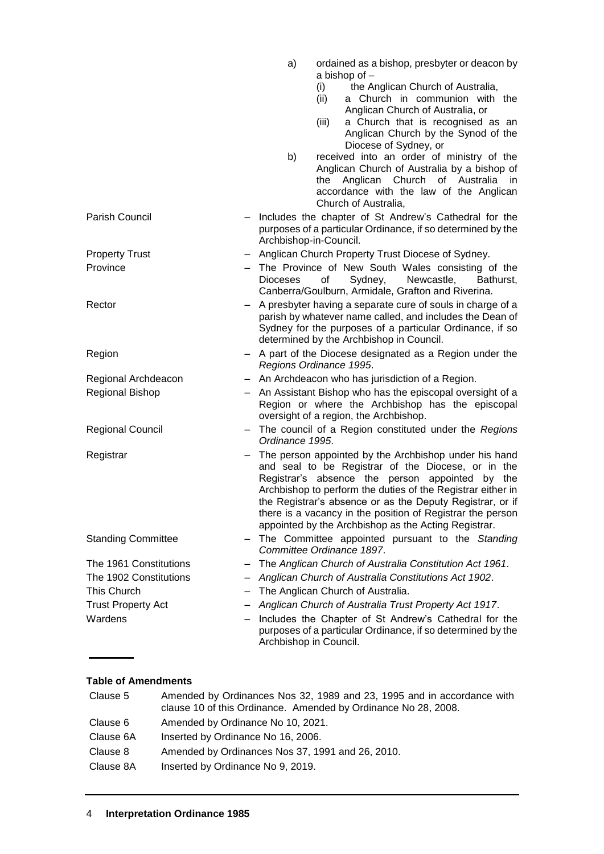|                           |                          | a)<br>b)                | ordained as a bishop, presbyter or deacon by<br>a bishop of -<br>(i)<br>the Anglican Church of Australia,<br>a Church in communion with the<br>(ii)<br>Anglican Church of Australia, or<br>a Church that is recognised as an<br>(iii)<br>Anglican Church by the Synod of the<br>Diocese of Sydney, or<br>received into an order of ministry of the<br>Anglican Church of Australia by a bishop of<br>Anglican Church of Australia in<br>the<br>accordance with the law of the Anglican<br>Church of Australia, |
|---------------------------|--------------------------|-------------------------|----------------------------------------------------------------------------------------------------------------------------------------------------------------------------------------------------------------------------------------------------------------------------------------------------------------------------------------------------------------------------------------------------------------------------------------------------------------------------------------------------------------|
| <b>Parish Council</b>     |                          | Archbishop-in-Council.  | - Includes the chapter of St Andrew's Cathedral for the<br>purposes of a particular Ordinance, if so determined by the                                                                                                                                                                                                                                                                                                                                                                                         |
| <b>Property Trust</b>     | $\qquad \qquad -$        |                         | Anglican Church Property Trust Diocese of Sydney.                                                                                                                                                                                                                                                                                                                                                                                                                                                              |
| Province                  | $-$                      | <b>Dioceses</b>         | The Province of New South Wales consisting of the<br>Sydney,<br>Newcastle,<br>οf<br>Bathurst.<br>Canberra/Goulburn, Armidale, Grafton and Riverina.                                                                                                                                                                                                                                                                                                                                                            |
| Rector                    |                          |                         | A presbyter having a separate cure of souls in charge of a<br>parish by whatever name called, and includes the Dean of<br>Sydney for the purposes of a particular Ordinance, if so<br>determined by the Archbishop in Council.                                                                                                                                                                                                                                                                                 |
| Region                    |                          | Regions Ordinance 1995. | - A part of the Diocese designated as a Region under the                                                                                                                                                                                                                                                                                                                                                                                                                                                       |
| Regional Archdeacon       |                          |                         | - An Archdeacon who has jurisdiction of a Region.                                                                                                                                                                                                                                                                                                                                                                                                                                                              |
| Regional Bishop           |                          |                         | - An Assistant Bishop who has the episcopal oversight of a<br>Region or where the Archbishop has the episcopal<br>oversight of a region, the Archbishop.                                                                                                                                                                                                                                                                                                                                                       |
| <b>Regional Council</b>   |                          | Ordinance 1995.         | The council of a Region constituted under the Regions                                                                                                                                                                                                                                                                                                                                                                                                                                                          |
| Registrar                 |                          |                         | The person appointed by the Archbishop under his hand<br>and seal to be Registrar of the Diocese, or in the<br>Registrar's absence the person appointed by the<br>Archbishop to perform the duties of the Registrar either in<br>the Registrar's absence or as the Deputy Registrar, or if<br>there is a vacancy in the position of Registrar the person<br>appointed by the Archbishop as the Acting Registrar.                                                                                               |
| <b>Standing Committee</b> | $\overline{\phantom{0}}$ |                         | The Committee appointed pursuant to the Standing<br>Committee Ordinance 1897.                                                                                                                                                                                                                                                                                                                                                                                                                                  |
| The 1961 Constitutions    | -                        |                         | The Anglican Church of Australia Constitution Act 1961.                                                                                                                                                                                                                                                                                                                                                                                                                                                        |
| The 1902 Constitutions    |                          |                         | Anglican Church of Australia Constitutions Act 1902.                                                                                                                                                                                                                                                                                                                                                                                                                                                           |
| This Church               |                          |                         | The Anglican Church of Australia.                                                                                                                                                                                                                                                                                                                                                                                                                                                                              |
| <b>Trust Property Act</b> |                          |                         | Anglican Church of Australia Trust Property Act 1917.                                                                                                                                                                                                                                                                                                                                                                                                                                                          |
| Wardens                   | —                        | Archbishop in Council.  | Includes the Chapter of St Andrew's Cathedral for the<br>purposes of a particular Ordinance, if so determined by the                                                                                                                                                                                                                                                                                                                                                                                           |

# **Table of Amendments**

| Clause 5  | Amended by Ordinances Nos 32, 1989 and 23, 1995 and in accordance with<br>clause 10 of this Ordinance. Amended by Ordinance No 28, 2008. |
|-----------|------------------------------------------------------------------------------------------------------------------------------------------|
| Clause 6  | Amended by Ordinance No 10, 2021.                                                                                                        |
| Clause 6A | Inserted by Ordinance No 16, 2006.                                                                                                       |
| Clause 8  | Amended by Ordinances Nos 37, 1991 and 26, 2010.                                                                                         |
| Clause 8A | Inserted by Ordinance No 9, 2019.                                                                                                        |